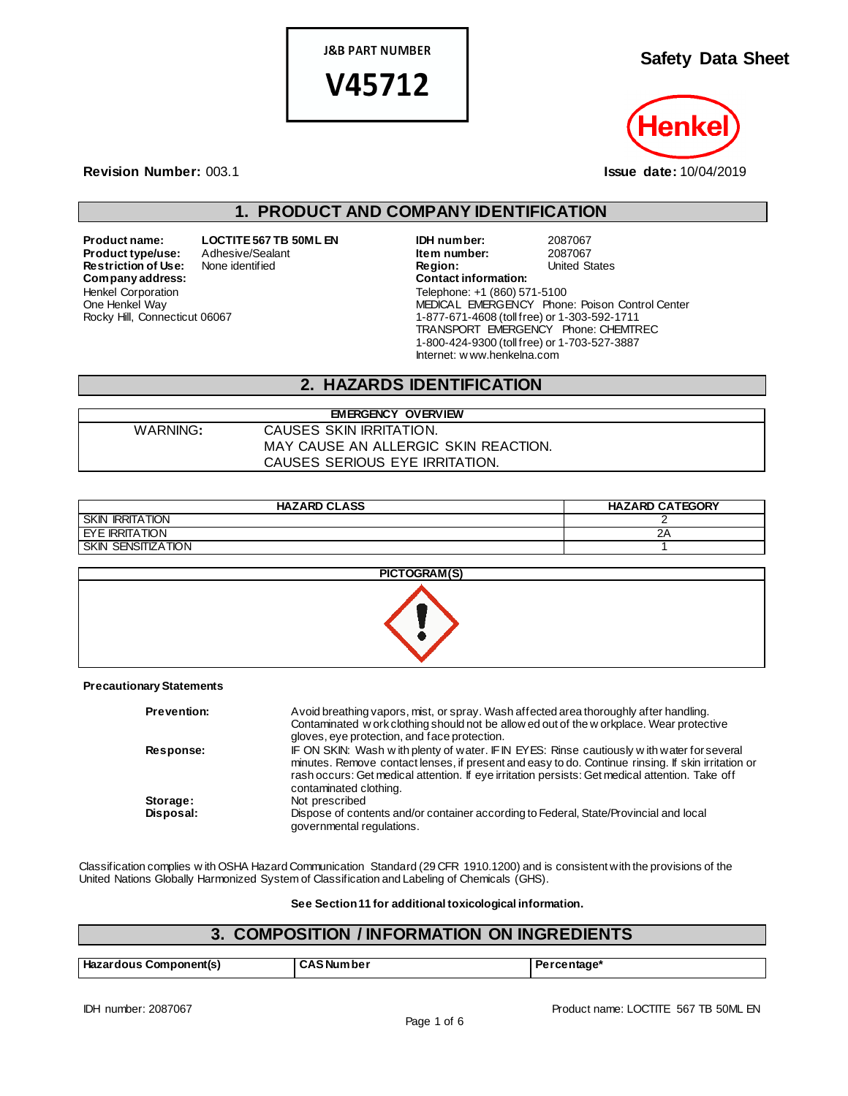**J&B PART NUMBER** 

V45712

**Safety Data Sheet**



**Revision Number:** 003.1 **Issue date:** 10/04/2019

# **1. PRODUCT AND COMPANY IDENTIFICATION**

**Restriction of Use:** None identified **Region:** Region: United States Contact information:  $Company address:$ Henkel Corporation One Henkel Way Rocky Hill, Connecticut 06067

**Product name: LOCTITE 567 TB 50ML EN IDH number:** 2087067 **Product type/use:** Adhesive/Sealant **Item number:** 2087067<br> **Restriction of Use:** None identified **Integral Construct Construct Construct** Constants United States Telephone: +1 (860) 571-5100 MEDICAL EMERGENCY Phone: Poison Control Center 1-877-671-4608 (toll free) or 1-303-592-1711 TRANSPORT EMERGENCY Phone: CHEMTREC 1-800-424-9300 (toll free) or 1-703-527-3887 Internet: w ww.henkelna.com

# **2. HAZARDS IDENTIFICATION**

#### WARNING**:** CAUSES SKIN IRRITATION. MAY CAUSE AN ALLERGIC SKIN REACTION. CAUSES SERIOUS EYE IRRITATION.

**EMERGENCY OVERVIEW**

| <b>HAZARD CLASS</b>              | <b>HAZARD CATEGORY</b> |
|----------------------------------|------------------------|
| <b>SKIN</b><br><b>IRRITATION</b> |                        |
| <b>EYE IRRITATION</b>            | ZΗ                     |
| <b>SKIN</b><br>' SENSITIZATION   |                        |



#### **Precautionary Statements**

| <b>Prevention:</b> | Avoid breathing vapors, mist, or spray. Wash affected area thoroughly after handling.<br>Contaminated w ork clothing should not be allow ed out of the w orkplace. Wear protective<br>gloves, eye protection, and face protection.                                                                                            |
|--------------------|-------------------------------------------------------------------------------------------------------------------------------------------------------------------------------------------------------------------------------------------------------------------------------------------------------------------------------|
| Response:          | IF ON SKIN: Wash with plenty of water. IF IN EYES: Rinse cautiously with water for several<br>minutes. Remove contact lenses, if present and easy to do. Continue rinsing. If skin irritation or<br>rash occurs: Get medical attention. If eye irritation persists: Get medical attention. Take off<br>contaminated clothing. |
| Storage:           | Not prescribed                                                                                                                                                                                                                                                                                                                |
| Disposal:          | Dispose of contents and/or container according to Federal, State/Provincial and local<br>governmental regulations.                                                                                                                                                                                                            |

Classification complies w ith OSHA Hazard Communication Standard (29 CFR 1910.1200) and is consistent with the provisions of the United Nations Globally Harmonized System of Classification and Labeling of Chemicals (GHS).

#### **See Section 11 for additional toxicological information.**

#### **3. COMPOSITION / INFORMATION ON INGREDIENTS**

| Hazardous<br>: Component(s)<br>$ -$ | :Number د<br>. | centage* |
|-------------------------------------|----------------|----------|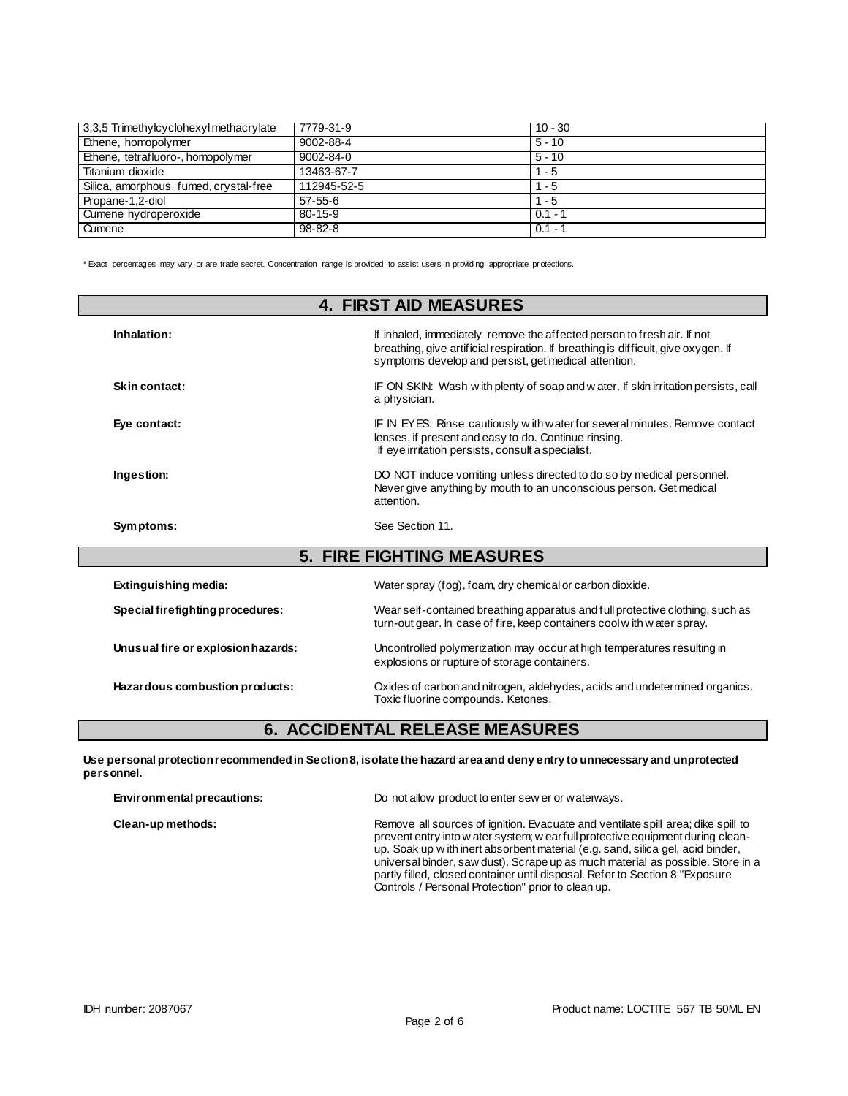| 3,3,5 Trimethylcyclohexyl methacrylate | 7779-31-9       | $10 - 30$ |
|----------------------------------------|-----------------|-----------|
| Ethene, homopolymer                    | 9002-88-4       | $5 - 10$  |
| Ethene, tetrafluoro-, homopolymer      | $9002 - 84 - 0$ | $5 - 10$  |
| Titanium dioxide                       | 13463-67-7      | $1 - 5$   |
| Silica, amorphous, fumed, crystal-free | 112945-52-5     | - 5       |
| Propane-1,2-diol                       | $57 - 55 - 6$   | $1 - 5$   |
| Cumene hydroperoxide                   | $80 - 15 - 9$   | $0.1 - 1$ |
| Cumene                                 | $98 - 82 - 8$   | $0.1 - 1$ |

\* Exact percentages may vary or are trade secret. Concentration range is provided to assist users in providing appropriate pr otections.

| <b>4. FIRST AID MEASURES</b>       |                                                                                                                                                                                                                       |  |
|------------------------------------|-----------------------------------------------------------------------------------------------------------------------------------------------------------------------------------------------------------------------|--|
| Inhalation:                        | If inhaled, immediately remove the affected person to fresh air. If not<br>breathing, give artificial respiration. If breathing is difficult, give oxygen. If<br>symptoms develop and persist, get medical attention. |  |
| Skin contact:                      | IF ON SKIN: Wash with plenty of soap and water. If skin irritation persists, call<br>a physician.                                                                                                                     |  |
| Eye contact:                       | IF IN EYES: Rinse cautiously with water for several minutes. Remove contact<br>lenses, if present and easy to do. Continue rinsing.<br>If eye irritation persists, consult a specialist.                              |  |
| Ingestion:                         | DO NOT induce vomiting unless directed to do so by medical personnel.<br>Never give anything by mouth to an unconscious person. Get medical<br>attention.                                                             |  |
| Symptoms:                          | See Section 11.                                                                                                                                                                                                       |  |
|                                    | <b>5. FIRE FIGHTING MEASURES</b>                                                                                                                                                                                      |  |
| Extinguishing media:               | Water spray (fog), foam, dry chemical or carbon dioxide.                                                                                                                                                              |  |
| Special firefighting procedures:   | Wear self-contained breathing apparatus and full protective clothing, such as<br>turn-out gear. In case of fire, keep containers cool with water spray.                                                               |  |
| Unusual fire or explosion hazards: | Uncontrolled polymerization may occur at high temperatures resulting in<br>explosions or rupture of storage containers.                                                                                               |  |
| Hazardous combustion products:     | Oxides of carbon and nitrogen, aldehydes, acids and undetermined organics.<br>Toxic fluorine compounds. Ketones.                                                                                                      |  |

### **6. ACCIDENTAL RELEASE MEASURES**

**Use personal protection recommended in Section 8, isolate the hazard area and deny entry to unnecessary and unprotected personnel.**

| Environmental precautions: | Do not allow product to enter sew er or waterways.                                                                                                                                                                                                                                                                                                                                                                                                                               |
|----------------------------|----------------------------------------------------------------------------------------------------------------------------------------------------------------------------------------------------------------------------------------------------------------------------------------------------------------------------------------------------------------------------------------------------------------------------------------------------------------------------------|
| Clean-up methods:          | Remove all sources of ignition. Evacuate and ventilate spill area; dike spill to<br>prevent entry into w ater system; w ear full protective equipment during clean-<br>up. Soak up w ith inert absorbent material (e.g. sand, silica gel, acid binder,<br>universal binder, saw dust). Scrape up as much material as possible. Store in a<br>partly filled, closed container until disposal. Refer to Section 8 "Exposure"<br>Controls / Personal Protection" prior to clean up. |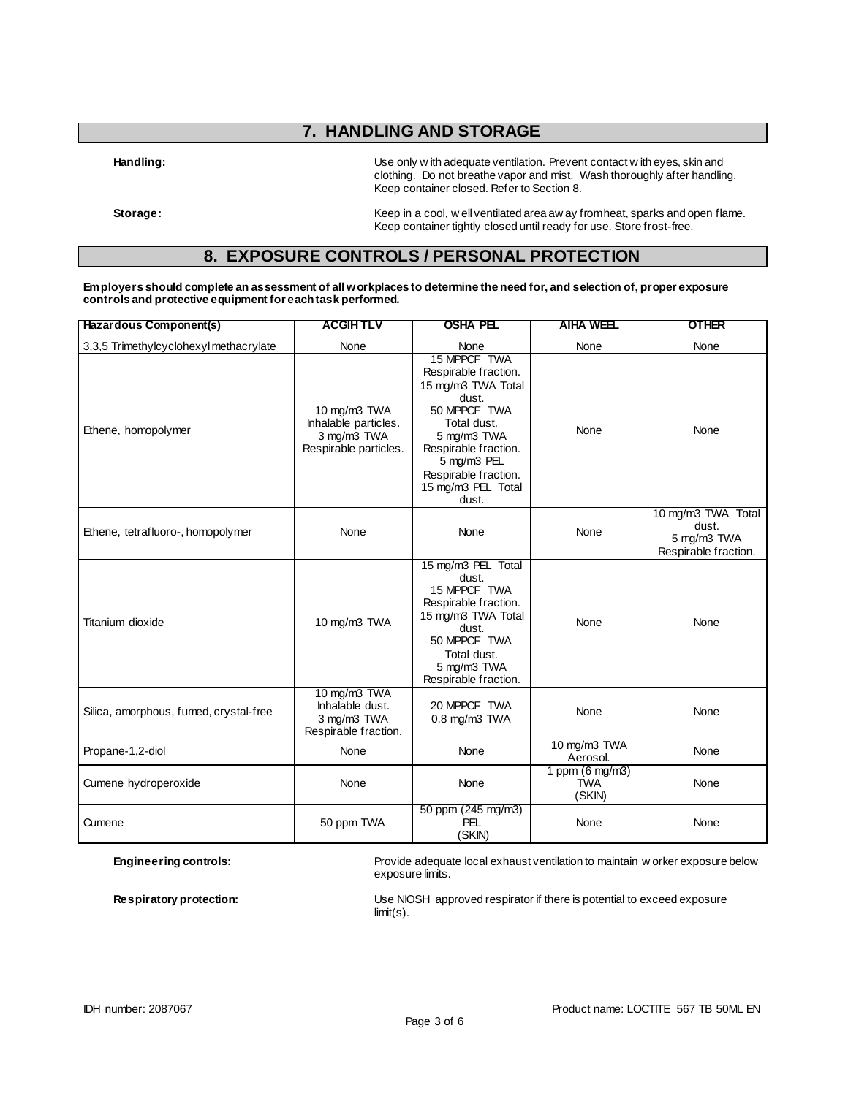# **7. HANDLING AND STORAGE**

Handling: **Handling:** Use only w ith adequate ventilation. Prevent contact w ith eyes, skin and clothing. Do not breathe vapor and mist. Wash thoroughly after handling. Keep container closed. Refer to Section 8.

Storage: **Storage:** Keep in a cool, w ell ventilated area aw ay from heat, sparks and open flame. Keep container tightly closed until ready for use. Store frost-free.

# **8. EXPOSURE CONTROLS / PERSONAL PROTECTION**

**Employers should complete an assessment of all workplaces to determine the need for, and selection of, proper exposure controls and protective equipment for each task performed.**

| Hazardous Component(s)                 | <b>ACGIHTLV</b>                                                              | <b>OSHA PEL</b>                                                                                                                                                                                                 | <b>AIHA WEEL</b>                        | <b>OTHER</b>                                                       |
|----------------------------------------|------------------------------------------------------------------------------|-----------------------------------------------------------------------------------------------------------------------------------------------------------------------------------------------------------------|-----------------------------------------|--------------------------------------------------------------------|
| 3,3,5 Trimethylcyclohexyl methacrylate | None                                                                         | None                                                                                                                                                                                                            |                                         | None                                                               |
| Ethene, homopolymer                    | 10 mg/m3 TWA<br>Inhalable particles.<br>3 mg/m3 TWA<br>Respirable particles. | 15 MPPCF TWA<br>Respirable fraction.<br>15 mg/m3 TWA Total<br>dust.<br>50 MPPCF TWA<br>Total dust.<br>5 mg/m3 TWA<br>Respirable fraction.<br>5 mg/m3 PEL<br>Respirable fraction.<br>15 mg/m3 PEL Total<br>dust. | None                                    | None                                                               |
| Ethene, tetrafluoro-, homopolymer      | None                                                                         | None                                                                                                                                                                                                            | None                                    | 10 mg/m3 TWA Total<br>dust.<br>5 mg/m3 TWA<br>Respirable fraction. |
| Titanium dioxide                       | 10 mg/m3 TWA                                                                 | 15 mg/m3 PEL Total<br>dust.<br>15 MPPCF TWA<br>Respirable fraction.<br>15 mg/m3 TWA Total<br>dust.<br>50 MPPCF TWA<br>Total dust.<br>5 mg/m3 TWA<br>Respirable fraction.                                        | None                                    | None                                                               |
| Silica, amorphous, fumed, crystal-free | 10 mg/m3 TWA<br>Inhalable dust.<br>3 mg/m3 TWA<br>Respirable fraction.       | 20 MPPCF TWA<br>$0.8$ mg/m $3$ TWA                                                                                                                                                                              | None                                    | None                                                               |
| Propane-1,2-diol                       | None                                                                         | None                                                                                                                                                                                                            | 10 mg/m3 TWA<br>Aerosol.                | None                                                               |
| Cumene hydroperoxide                   | None                                                                         | None                                                                                                                                                                                                            | 1 ppm (6 mg/m3)<br><b>TWA</b><br>(SKIN) | None                                                               |
| Cumene                                 | 50 ppm TWA                                                                   | 50 ppm (245 mg/m3)<br><b>PEL</b><br>(SKIN)                                                                                                                                                                      | None                                    | None                                                               |

**Engineering controls:** Provide adequate local exhaust ventilation to maintain w orker exposure below exposure limits.

**Respiratory protection:** Use NIOSH approved respirator if there is potential to exceed exposure limit(s).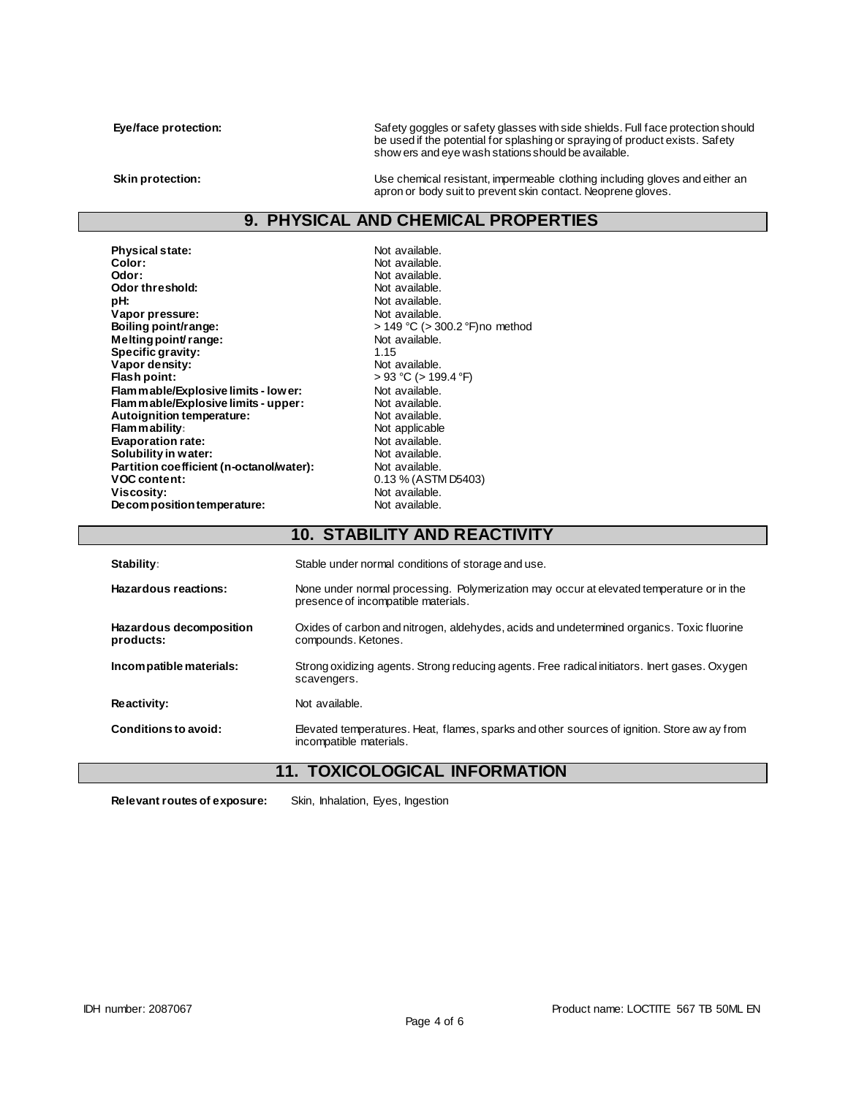**Eye/face protection:** Safety goggles or safety glasses with side shields. Full face protection should be used if the potential for splashing or spraying of product exists. Safety show ers and eye wash stations should be available.

**Skin protection:** Use chemical resistant, impermeable clothing including gloves and either an apron or body suit to prevent skin contact. Neoprene gloves.

# **9. PHYSICAL AND CHEMICAL PROPERTIES**

**Physical state:** Not available. Color: Not available. Color: **Color:** Not available.<br> **Color:** Not available.<br>
Not available. **Odor threshold:**<br>pH: Vapor pressure:<br>Boiling point/range: **Melting point/ range:** Not available.<br> **Specific gravity**<br>  $\begin{array}{ccc}\n1 & 15 \\
1 & -15\n\end{array}$ **Specific gravity:** 1.15<br> **Vapor density:** 1.15<br> **Vapor density:** Not available. **Vapor density:**<br>Flash point: **Flammable/Explosive limits - lower:** Not available.<br> **Flammable/Explosive limits - upper:** Not available. **Flammable/Explosive limits - upper:** Not available.<br> **Autoignition temperature:** Not available. Autoignition temperature:<br>Flam m ability: **Evaporation rate:** Not available.<br> **Solubility in water:** Not available. **Solubility in water: Not available.**<br> **Partition coefficient (n-octanol/water):** Not available. Partition coefficient (n-octanol/water):<br>VOC content: **Viscosity:**<br> **Decomposition temperature:**<br>
Not available. Decomposition temperature:

Not available.<br>Not available. Not available.<br>Not available. **Boiling point/range:** > 149 °C (> 300.2 °F)no method **Flash point:** > 93 °C (> 199.4 °F) Not applicable<br>Not available. **VOC content:** 0.13 % (ASTM D5403)

|                                      | IV. STADILIT AND REACTIVITT                                                                                                     |  |  |
|--------------------------------------|---------------------------------------------------------------------------------------------------------------------------------|--|--|
| Stability:                           | Stable under normal conditions of storage and use.                                                                              |  |  |
| Hazardous reactions:                 | None under normal processing. Polymerization may occur at elevated temperature or in the<br>presence of incompatible materials. |  |  |
| Hazardous decomposition<br>products: | Oxides of carbon and nitrogen, aldehydes, acids and undetermined organics. Toxic fluorine<br>compounds. Ketones.                |  |  |
| Incompatible materials:              | Strong oxidizing agents. Strong reducing agents. Free radical initiators. Inert gases. Oxygen<br>scavengers.                    |  |  |
| Reactivity:                          | Not available.                                                                                                                  |  |  |
| Conditions to avoid:                 | Elevated temperatures. Heat, flames, sparks and other sources of ignition. Store aw ay from<br>incompatible materials.          |  |  |
|                                      | <b>11. TOXICOLOGICAL INFORMATION</b>                                                                                            |  |  |

**10. STABILITY AND REACTIVITY**

**Relevant routes of exposure:** Skin, Inhalation, Eyes, Ingestion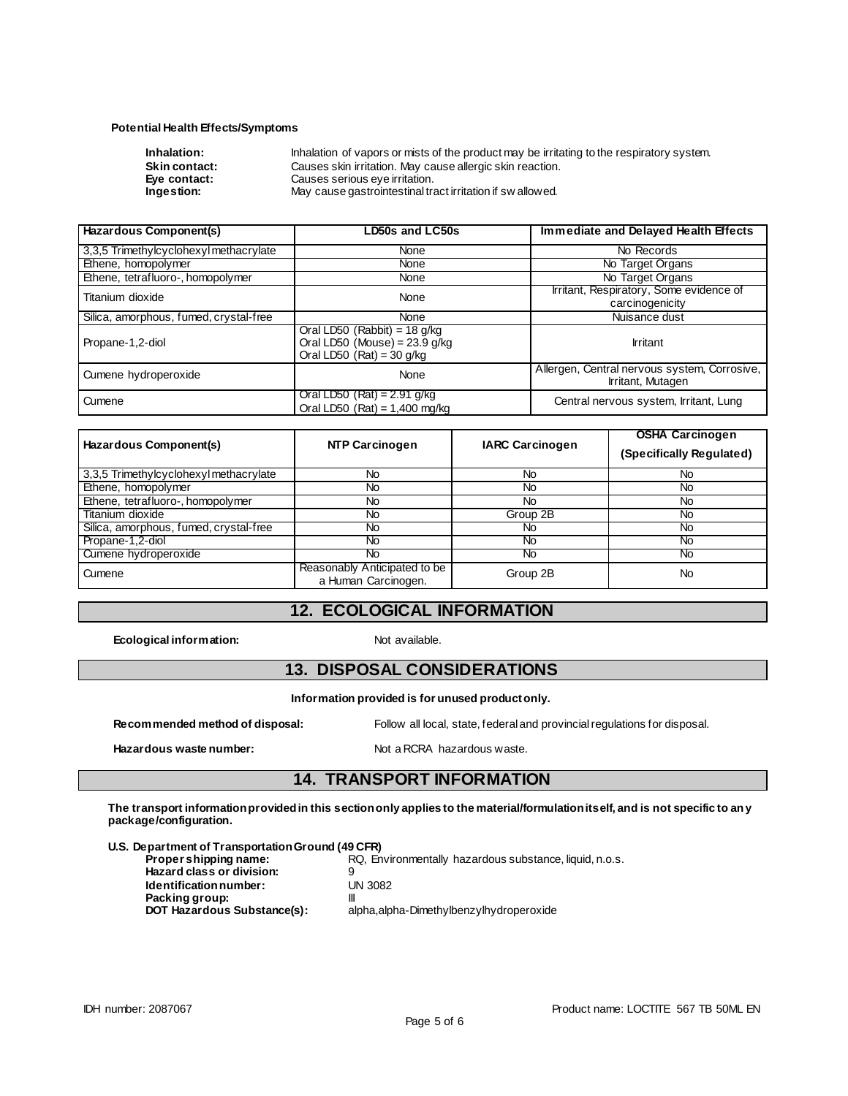#### **Potential Health Effects/Symptoms**

| Inhalation:          | Inhalation of vapors or mists of the product may be irritating to the respiratory system. |
|----------------------|-------------------------------------------------------------------------------------------|
| <b>Skin contact:</b> | Causes skin irritation. May cause allergic skin reaction.                                 |
| Eve contact:         | Causes serious eye irritation.                                                            |
| Ingestion:           | May cause gastrointestinal tract irritation if sw allowed.                                |

| <b>Hazardous Component(s)</b>          | <b>LD50s and LC50s</b>                                                                           | Immediate and Delayed Health Effects                              |  |
|----------------------------------------|--------------------------------------------------------------------------------------------------|-------------------------------------------------------------------|--|
| 3,3,5 Trimethylcyclohexyl methacrylate | None                                                                                             | No Records                                                        |  |
| Ethene, homopolymer                    | None                                                                                             | No Target Organs                                                  |  |
| Ethene, tetrafluoro-, homopolymer      | None                                                                                             | No Target Organs                                                  |  |
| Titanium dioxide                       | None                                                                                             | Irritant, Respiratory, Some evidence of<br>carcinogenicity        |  |
| Silica, amorphous, fumed, crystal-free | None                                                                                             | Nuisance dust                                                     |  |
| Propane-1,2-diol                       | Oral LD50 (Rabbit) = 18 $q/kg$<br>Oral LD50 (Mouse) = $23.9$ g/kg<br>Oral LD50 $(Rat) = 30$ g/kg | <b>Irritant</b>                                                   |  |
| Cumene hydroperoxide                   | None                                                                                             | Allergen, Central nervous system, Corrosive,<br>Irritant, Mutagen |  |
| Cumene                                 | Oral LD50 (Rat) = 2.91 g/kg<br>Oral LD50 (Rat) = $1,400$ mg/kg                                   | Central nervous system, Irritant, Lung                            |  |

| Hazardous Component(s)                 | <b>NTP Carcinogen</b>                               | <b>IARC Carcinogen</b> | <b>OSHA Carcinogen</b><br>(Specifically Regulated) |
|----------------------------------------|-----------------------------------------------------|------------------------|----------------------------------------------------|
| 3,3,5 Trimethylcyclohexyl methacrylate | No                                                  | No                     | <b>No</b>                                          |
| Ethene, homopolymer                    | No.                                                 | <b>No</b>              | No.                                                |
| Ethene, tetrafluoro-, homopolymer      | No.                                                 | <b>No</b>              | No.                                                |
| Titanium dioxide                       | No.                                                 | Group 2B               | No.                                                |
| Silica, amorphous, fumed, crystal-free | No.                                                 | No                     | No.                                                |
| Propane-1,2-diol                       | No                                                  | No.                    | No.                                                |
| Cumene hydroperoxide                   | Νo                                                  | No.                    | No.                                                |
| Cumene                                 | Reasonably Anticipated to be<br>a Human Carcinogen. | Group 2B               | No                                                 |

# **12. ECOLOGICAL INFORMATION**

**Ecological information:** Not available.

### **13. DISPOSAL CONSIDERATIONS**

**Information provided is for unused product only.**

**Hazardous waste number:** Not a RCRA hazardous waste.

**Recommended method of disposal:** Follow all local, state, federal and provincial regulations for disposal.

# **14. TRANSPORT INFORMATION**

**The transport information provided in this section only applies to the material/formulation itself, and is not specific to any package/configuration.**

# **U.S. Department of Transportation Ground (49 CFR)**

**Hazard class or division:** 9<br> **Identification number:** UN 3082 **Identification number: Packing group:** III

**RQ, Environmentally hazardous substance, liquid, n.o.s.** alpha,alpha-Dimethylbenzylhydroperoxide